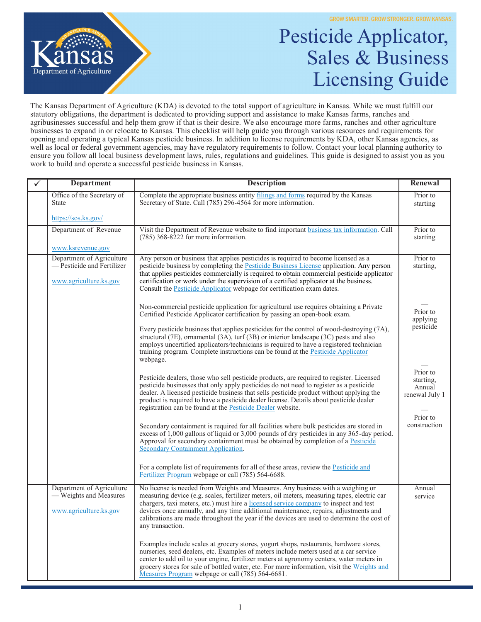

## Pesticide Applicator, Sales & Business Licensing Guide

The Kansas Department of Agriculture (KDA) is devoted to the total support of agriculture in Kansas. While we must fulfill our statutory obligations, the department is dedicated to providing support and assistance to make Kansas farms, ranches and agribusinesses successful and help them grow if that is their desire. We also encourage more farms, ranches and other agriculture businesses to expand in or relocate to Kansas. This checklist will help guide you through various resources and requirements for opening and operating a typical Kansas pesticide business. In addition to license requirements by KDA, other Kansas agencies, as well as local or federal government agencies, may have regulatory requirements to follow. Contact your local planning authority to ensure you follow all local business development laws, rules, regulations and guidelines. This guide is designed to assist you as you work to build and operate a successful pesticide business in Kansas.

| <b>Department</b>                                                                 | <b>Description</b>                                                                                                                                                                                                                                                                                                                                                                                                                                                                | Renewal                                                       |
|-----------------------------------------------------------------------------------|-----------------------------------------------------------------------------------------------------------------------------------------------------------------------------------------------------------------------------------------------------------------------------------------------------------------------------------------------------------------------------------------------------------------------------------------------------------------------------------|---------------------------------------------------------------|
| Office of the Secretary of<br><b>State</b>                                        | Complete the appropriate business entity filings and forms required by the Kansas<br>Secretary of State. Call (785) 296-4564 for more information.                                                                                                                                                                                                                                                                                                                                | Prior to<br>starting                                          |
| https://sos.ks.gov/                                                               |                                                                                                                                                                                                                                                                                                                                                                                                                                                                                   |                                                               |
| Department of Revenue                                                             | Visit the Department of Revenue website to find important business tax information. Call<br>$(785)$ 368-8222 for more information.                                                                                                                                                                                                                                                                                                                                                | Prior to<br>starting                                          |
| www.ksrevenue.gov                                                                 |                                                                                                                                                                                                                                                                                                                                                                                                                                                                                   |                                                               |
| Department of Agriculture<br>- Pesticide and Fertilizer<br>www.agriculture.ks.gov | Any person or business that applies pesticides is required to become licensed as a<br>pesticide business by completing the Pesticide Business License application. Any person<br>that applies pesticides commercially is required to obtain commercial pesticide applicator<br>certification or work under the supervision of a certified applicator at the business.<br>Consult the Pesticide Applicator webpage for certification exam dates.                                   | Prior to<br>starting,                                         |
|                                                                                   | Non-commercial pesticide application for agricultural use requires obtaining a Private<br>Certified Pesticide Applicator certification by passing an open-book exam.                                                                                                                                                                                                                                                                                                              | Prior to<br>applying                                          |
|                                                                                   | Every pesticide business that applies pesticides for the control of wood-destroying $(7A)$ ,<br>structural $(7E)$ , ornamental $(3A)$ , turf $(3B)$ or interior landscape $(3C)$ pests and also<br>employs uncertified applicators/technicians is required to have a registered technician<br>training program. Complete instructions can be found at the Pesticide Applicator<br>webpage.                                                                                        | pesticide                                                     |
|                                                                                   | Pesticide dealers, those who sell pesticide products, are required to register. Licensed<br>pesticide businesses that only apply pesticides do not need to register as a pesticide<br>dealer. A licensed pesticide business that sells pesticide product without applying the<br>product is required to have a pesticide dealer license. Details about pesticide dealer<br>registration can be found at the Pesticide Dealer website.                                             | Prior to<br>starting,<br>Annual<br>renewal July 1<br>Prior to |
|                                                                                   | Secondary containment is required for all facilities where bulk pesticides are stored in<br>excess of 1,000 gallons of liquid or 3,000 pounds of dry pesticides in any 365-day period.<br>Approval for secondary containment must be obtained by completion of a Pesticide<br>Secondary Containment Application.                                                                                                                                                                  | construction                                                  |
|                                                                                   | For a complete list of requirements for all of these areas, review the <b>Pesticide and</b><br>Fertilizer Program webpage or call (785) 564-6688.                                                                                                                                                                                                                                                                                                                                 |                                                               |
| Department of Agriculture<br>— Weights and Measures<br>www.agriculture.ks.gov     | No license is needed from Weights and Measures. Any business with a weighing or<br>measuring device (e.g. scales, fertilizer meters, oil meters, measuring tapes, electric car<br>chargers, taxi meters, etc.) must hire a licensed service company to inspect and test<br>devices once annually, and any time additional maintenance, repairs, adjustments and<br>calibrations are made throughout the year if the devices are used to determine the cost of<br>any transaction. | Annual<br>service                                             |
|                                                                                   | Examples include scales at grocery stores, yogurt shops, restaurants, hardware stores,<br>nurseries, seed dealers, etc. Examples of meters include meters used at a car service<br>center to add oil to your engine, fertilizer meters at agronomy centers, water meters in<br>grocery stores for sale of bottled water, etc. For more information, visit the Weights and<br>Measures Program webpage or call (785) 564-6681.                                                     |                                                               |